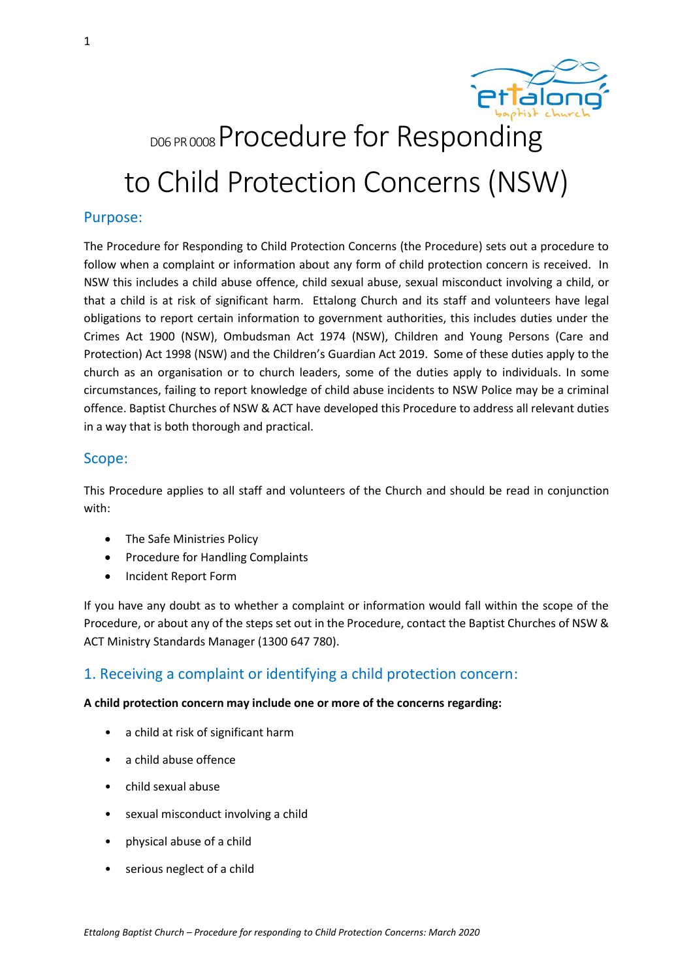

# DOG PR 0008 Procedure for Responding to Child Protection Concerns (NSW)

# Purpose:

The Procedure for Responding to Child Protection Concerns (the Procedure) sets out a procedure to follow when a complaint or information about any form of child protection concern is received. In NSW this includes a child abuse offence, child sexual abuse, sexual misconduct involving a child, or that a child is at risk of significant harm. Ettalong Church and its staff and volunteers have legal obligations to report certain information to government authorities, this includes duties under the Crimes Act 1900 (NSW), Ombudsman Act 1974 (NSW), Children and Young Persons (Care and Protection) Act 1998 (NSW) and the Children's Guardian Act 2019. Some of these duties apply to the church as an organisation or to church leaders, some of the duties apply to individuals. In some circumstances, failing to report knowledge of child abuse incidents to NSW Police may be a criminal offence. Baptist Churches of NSW & ACT have developed this Procedure to address all relevant duties in a way that is both thorough and practical.

# Scope:

This Procedure applies to all staff and volunteers of the Church and should be read in conjunction with:

- The Safe Ministries Policy
- Procedure for Handling Complaints
- Incident Report Form

If you have any doubt as to whether a complaint or information would fall within the scope of the Procedure, or about any of the steps set out in the Procedure, contact the Baptist Churches of NSW & ACT Ministry Standards Manager (1300 647 780).

# 1. Receiving a complaint or identifying a child protection concern:

## **A child protection concern may include one or more of the concerns regarding:**

- a child at risk of significant harm
- a child abuse offence
- child sexual abuse
- sexual misconduct involving a child
- physical abuse of a child
- serious neglect of a child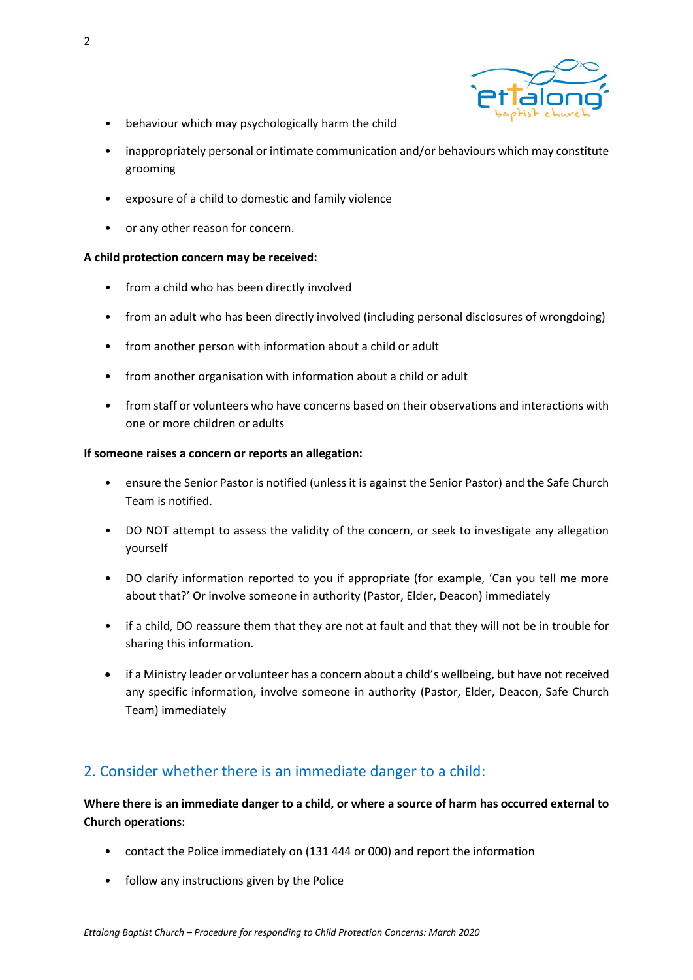

- behaviour which may psychologically harm the child
- inappropriately personal or intimate communication and/or behaviours which may constitute grooming
- exposure of a child to domestic and family violence
- or any other reason for concern.

## **A child protection concern may be received:**

- from a child who has been directly involved
- from an adult who has been directly involved (including personal disclosures of wrongdoing)
- from another person with information about a child or adult
- from another organisation with information about a child or adult
- from staff or volunteers who have concerns based on their observations and interactions with one or more children or adults

#### **If someone raises a concern or reports an allegation:**

- ensure the Senior Pastor is notified (unless it is against the Senior Pastor) and the Safe Church Team is notified.
- DO NOT attempt to assess the validity of the concern, or seek to investigate any allegation yourself
- DO clarify information reported to you if appropriate (for example, 'Can you tell me more about that?' Or involve someone in authority (Pastor, Elder, Deacon) immediately
- if a child, DO reassure them that they are not at fault and that they will not be in trouble for sharing this information.
- if a Ministry leader or volunteer has a concern about a child's wellbeing, but have not received any specific information, involve someone in authority (Pastor, Elder, Deacon, Safe Church Team) immediately

# 2. Consider whether there is an immediate danger to a child:

**Where there is an immediate danger to a child, or where a source of harm has occurred external to Church operations:** 

- contact the Police immediately on (131 444 or 000) and report the information
- follow any instructions given by the Police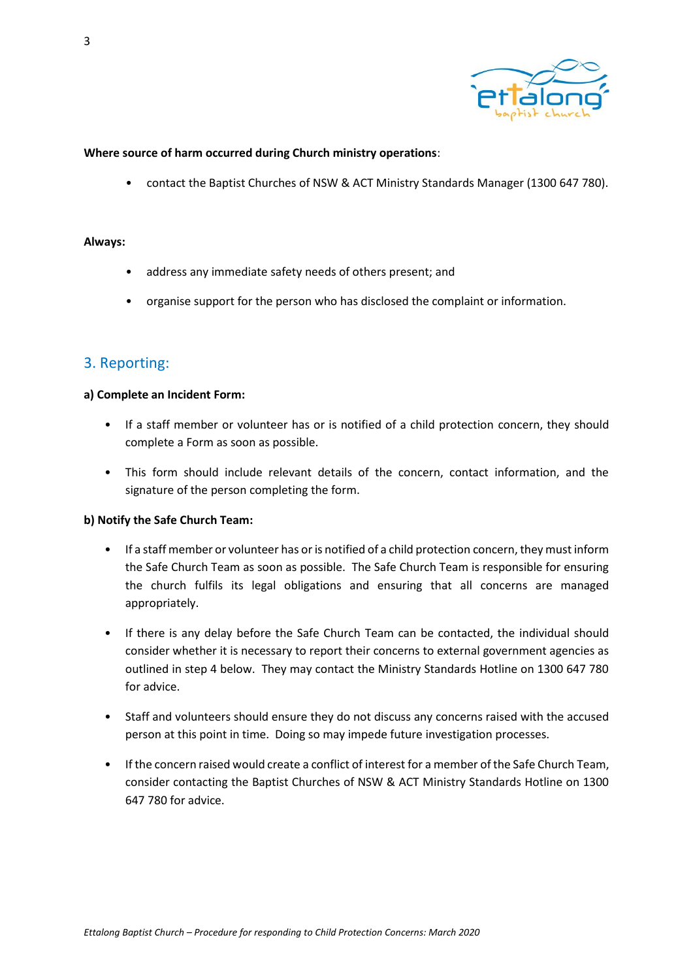

### **Where source of harm occurred during Church ministry operations**:

• contact the Baptist Churches of NSW & ACT Ministry Standards Manager (1300 647 780).

#### **Always:**

- address any immediate safety needs of others present; and
- organise support for the person who has disclosed the complaint or information.

# 3. Reporting:

## **a) Complete an Incident Form:**

- If a staff member or volunteer has or is notified of a child protection concern, they should complete a Form as soon as possible.
- This form should include relevant details of the concern, contact information, and the signature of the person completing the form.

## **b) Notify the Safe Church Team:**

- If a staff member or volunteer has or is notified of a child protection concern, they must inform the Safe Church Team as soon as possible. The Safe Church Team is responsible for ensuring the church fulfils its legal obligations and ensuring that all concerns are managed appropriately.
- If there is any delay before the Safe Church Team can be contacted, the individual should consider whether it is necessary to report their concerns to external government agencies as outlined in step 4 below. They may contact the Ministry Standards Hotline on 1300 647 780 for advice.
- Staff and volunteers should ensure they do not discuss any concerns raised with the accused person at this point in time. Doing so may impede future investigation processes.
- If the concern raised would create a conflict of interest for a member of the Safe Church Team, consider contacting the Baptist Churches of NSW & ACT Ministry Standards Hotline on 1300 647 780 for advice.